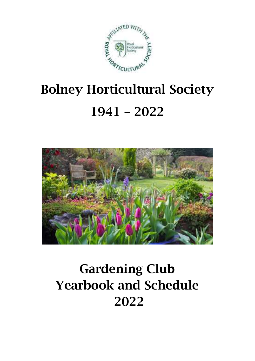

# Bolney Horticultural Society 1941 – 2022



# Gardening Club Yearbook and Schedule 2022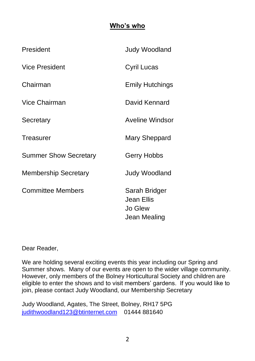## **Who's who**

| President                    | <b>Judy Woodland</b>                                   |
|------------------------------|--------------------------------------------------------|
| Vice President               | Cyril Lucas                                            |
| Chairman                     | <b>Emily Hutchings</b>                                 |
| Vice Chairman                | David Kennard                                          |
| Secretary                    | Aveline Windsor                                        |
| Treasurer                    | Mary Sheppard                                          |
| <b>Summer Show Secretary</b> | Gerry Hobbs                                            |
| <b>Membership Secretary</b>  | <b>Judy Woodland</b>                                   |
| <b>Committee Members</b>     | Sarah Bridger<br>Jean Ellis<br>Jo Glew<br>Jean Mealing |

Dear Reader,

We are holding several exciting events this year including our Spring and Summer shows. Many of our events are open to the wider village community. However, only members of the Bolney Horticultural Society and children are eligible to enter the shows and to visit members' gardens. If you would like to join, please contact Judy Woodland, our Membership Secretary

Judy Woodland, Agates, The Street, Bolney, RH17 5PG [judithwoodland123@btinternet.com](mailto:judithwoodland123@btinternet.com) 01444 881640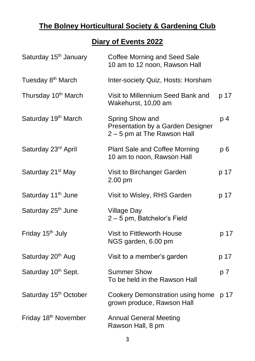# **The Bolney Horticultural Society & Gardening Club**

# **Diary of Events 2022**

| Saturday 15 <sup>th</sup> January | Coffee Morning and Seed Sale<br>10 am to 12 noon, Rawson Hall                       |      |
|-----------------------------------|-------------------------------------------------------------------------------------|------|
| Tuesday 8 <sup>th</sup> March     | Inter-society Quiz, Hosts: Horsham                                                  |      |
| Thursday 10 <sup>th</sup> March   | Visit to Millennium Seed Bank and<br>Wakehurst, 10,00 am                            | p 17 |
| Saturday 19th March               | Spring Show and<br>Presentation by a Garden Designer<br>2 - 5 pm at The Rawson Hall | p 4  |
| Saturday 23rd April               | Plant Sale and Coffee Morning<br>10 am to noon, Rawson Hall                         | p6   |
| Saturday 21 <sup>st</sup> May     | Visit to Birchanger Garden<br>2.00 pm                                               | p 17 |
| Saturday 11 <sup>th</sup> June    | Visit to Wisley, RHS Garden                                                         | p 17 |
| Saturday 25 <sup>th</sup> June    | Village Day<br>2-5 pm, Batchelor's Field                                            |      |
| Friday 15 <sup>th</sup> July      | Visit to Fittleworth House<br>NGS garden, 6.00 pm                                   | p 17 |
| Saturday 20 <sup>th</sup> Aug     | Visit to a member's garden                                                          | p 17 |
| Saturday 10th Sept.               | <b>Summer Show</b><br>To be held in the Rawson Hall                                 | p 7  |
| Saturday 15 <sup>th</sup> October | Cookery Demonstration using home<br>grown produce, Rawson Hall                      | p 17 |
| Friday 18 <sup>th</sup> November  | <b>Annual General Meeting</b><br>Rawson Hall, 8 pm                                  |      |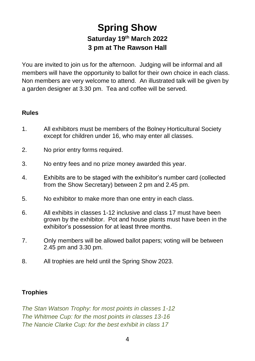# **Spring Show Saturday 19th March 2022 3 pm at The Rawson Hall**

You are invited to join us for the afternoon. Judging will be informal and all members will have the opportunity to ballot for their own choice in each class. Non members are very welcome to attend. An illustrated talk will be given by a garden designer at 3.30 pm. Tea and coffee will be served.

#### **Rules**

- 1. All exhibitors must be members of the Bolney Horticultural Society except for children under 16, who may enter all classes.
- 2. No prior entry forms required.
- 3. No entry fees and no prize money awarded this year.
- 4. Exhibits are to be staged with the exhibitor's number card (collected from the Show Secretary) between 2 pm and 2.45 pm.
- 5. No exhibitor to make more than one entry in each class.
- 6. All exhibits in classes 1-12 inclusive and class 17 must have been grown by the exhibitor. Pot and house plants must have been in the exhibitor's possession for at least three months.
- 7. Only members will be allowed ballot papers; voting will be between 2.45 pm and 3.30 pm.
- 8. All trophies are held until the Spring Show 2023.

#### **Trophies**

*The Stan Watson Trophy: for most points in classes 1-12 The Whitmee Cup: for the most points in classes 13-16 The Nancie Clarke Cup: for the best exhibit in class 17*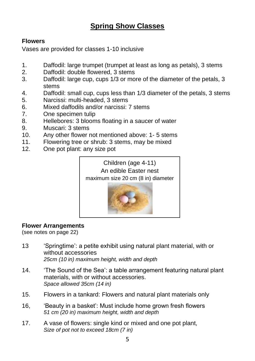# **Spring Show Classes**

#### **Flowers**

Vases are provided for classes 1-10 inclusive

- 1. Daffodil: large trumpet (trumpet at least as long as petals), 3 stems<br>2 Daffodil: double flowered 3 stems
- Daffodil: double flowered, 3 stems
- 3. Daffodil: large cup, cups 1/3 or more of the diameter of the petals, 3 stems
- 4. Daffodil: small cup, cups less than 1/3 diameter of the petals, 3 stems
- 5. Narcissi: multi-headed, 3 stems
- 6. Mixed daffodils and/or narcissi: 7 stems
- 7. One specimen tulip
- 8. Hellebores: 3 blooms floating in a saucer of water
- 9. Muscari: 3 stems<br>10 Any other flower r
- Any other flower not mentioned above: 1- 5 stems
- 11. Flowering tree or shrub: 3 stems, may be mixed
- 12. One pot plant: any size pot





#### **Flower Arrangements**

(see notes on page 22)

- 13 'Springtime': a petite exhibit using natural plant material, with or without accessories *25cm (10 in) maximum height, width and depth*
- 14. 'The Sound of the Sea': a table arrangement featuring natural plant materials, with or without accessories. *Space allowed 35cm (14 in)*
- 15. Flowers in a tankard: Flowers and natural plant materials only
- 16, 'Beauty in a basket': Must include home grown fresh flowers *51 cm (20 in) maximum height, width and depth*
- 17. A vase of flowers: single kind or mixed and one pot plant, *Size of pot not to exceed 18cm (7 in)*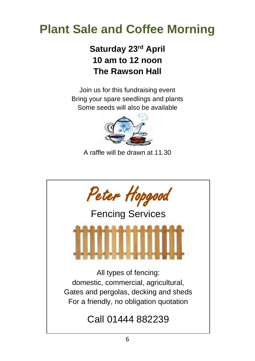# **Plant Sale and Coffee Morning**

# **Saturday 23rd April 10 am to 12 noon The Rawson Hall**

Join us for this fundraising event Bring your spare seedlings and plants Some seeds will also be available



A raffle will be drawn at 11.30

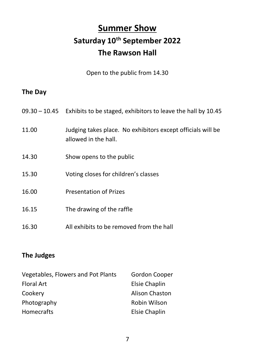# **Summer Show Saturday 10th September 2022 The Rawson Hall**

Open to the public from 14.30

# **The Day**

|       | $09.30 - 10.45$ Exhibits to be staged, exhibitors to leave the hall by 10.45        |
|-------|-------------------------------------------------------------------------------------|
| 11.00 | Judging takes place. No exhibitors except officials will be<br>allowed in the hall. |
| 14.30 | Show opens to the public                                                            |
| 15.30 | Voting closes for children's classes                                                |
| 16.00 | <b>Presentation of Prizes</b>                                                       |
| 16.15 | The drawing of the raffle                                                           |
| 16.30 | All exhibits to be removed from the hall                                            |

# **The Judges**

| Vegetables, Flowers and Pot Plants | Gordon Cooper        |  |  |  |
|------------------------------------|----------------------|--|--|--|
| <b>Floral Art</b>                  | Elsie Chaplin        |  |  |  |
| Cookery                            | Alison Chaston       |  |  |  |
| Photography                        | Robin Wilson         |  |  |  |
| Homecrafts                         | <b>Elsie Chaplin</b> |  |  |  |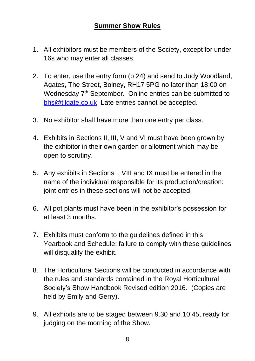# **Summer Show Rules**

- 1. All exhibitors must be members of the Society, except for under 16s who may enter all classes.
- 2. To enter, use the entry form (p 24) and send to Judy Woodland, Agates, The Street, Bolney, RH17 5PG no later than 18:00 on Wednesday 7<sup>th</sup> September. Online entries can be submitted to [bhs@tilgate.co.uk](mailto:bhs@tilgate.co.uk) Late entries cannot be accepted.
- 3. No exhibitor shall have more than one entry per class.
- 4. Exhibits in Sections II, III, V and VI must have been grown by the exhibitor in their own garden or allotment which may be open to scrutiny.
- 5. Any exhibits in Sections I, VIII and IX must be entered in the name of the individual responsible for its production/creation: joint entries in these sections will not be accepted.
- 6. All pot plants must have been in the exhibitor's possession for at least 3 months.
- 7. Exhibits must conform to the guidelines defined in this Yearbook and Schedule; failure to comply with these guidelines will disqualify the exhibit.
- 8. The Horticultural Sections will be conducted in accordance with the rules and standards contained in the Royal Horticultural Society's Show Handbook Revised edition 2016. (Copies are held by Emily and Gerry).
- 9. All exhibits are to be staged between 9.30 and 10.45, ready for judging on the morning of the Show.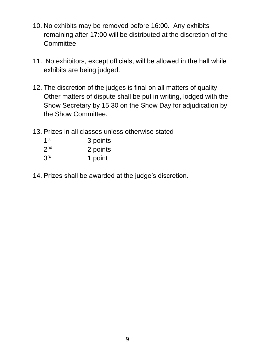- 10. No exhibits may be removed before 16:00. Any exhibits remaining after 17:00 will be distributed at the discretion of the Committee.
- 11. No exhibitors, except officials, will be allowed in the hall while exhibits are being judged.
- 12. The discretion of the judges is final on all matters of quality. Other matters of dispute shall be put in writing, lodged with the Show Secretary by 15:30 on the Show Day for adjudication by the Show Committee.
- 13. Prizes in all classes unless otherwise stated

| 1 <sup>st</sup> | 3 points |
|-----------------|----------|
| 2 <sub>nd</sub> | 2 points |
| 3 <sup>rd</sup> | 1 point  |

14. Prizes shall be awarded at the judge's discretion.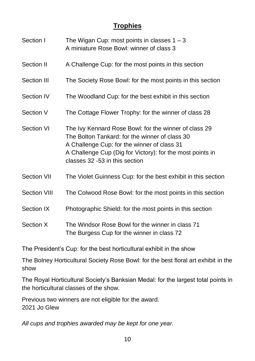# **Trophies**

| Section I           | The Wigan Cup: most points in classes $1 - 3$<br>A miniature Rose Bowl: winner of class 3                                                                                                                                                             |
|---------------------|-------------------------------------------------------------------------------------------------------------------------------------------------------------------------------------------------------------------------------------------------------|
| Section II          | A Challenge Cup: for the most points in this section                                                                                                                                                                                                  |
| Section III         | The Society Rose Bowl: for the most points in this section                                                                                                                                                                                            |
| Section IV          | The Woodland Cup: for the best exhibit in this section                                                                                                                                                                                                |
| Section V           | The Cottage Flower Trophy: for the winner of class 28                                                                                                                                                                                                 |
| Section VI          | The Ivy Kennard Rose Bowl: for the winner of class 29<br>The Bolton Tankard: for the winner of class 30<br>A Challenge Cup: for the winner of class 31<br>A Challenge Cup (Dig for Victory): for the most points in<br>classes 32 -53 in this section |
| Section VII         | The Violet Guinness Cup: for the best exhibit in this section                                                                                                                                                                                         |
| <b>Section VIII</b> | The Colwood Rose Bowl: for the most points in this section                                                                                                                                                                                            |
| Section IX          | Photographic Shield: for the most points in this section                                                                                                                                                                                              |
| Section X           | The Windsor Rose Bowl for the winner in class 71<br>The Burgess Cup for the winner in class 72                                                                                                                                                        |

The President's Cup: for the best horticultural exhibit in the show

The Bolney Horticultural Society Rose Bowl: for the best floral art exhibit in the show

The Royal Horticultural Society's Banksian Medal: for the largest total points in the horticultural classes of the show.

Previous two winners are not eligible for the award. 2021 Jo Glew

*All cups and trophies awarded may be kept for one year.*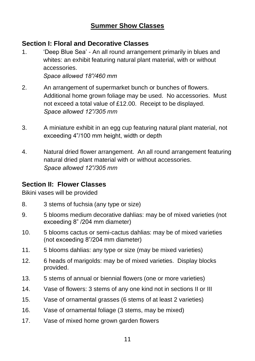### **Summer Show Classes**

#### **Section I: Floral and Decorative Classes**

1. 'Deep Blue Sea' - An all round arrangement primarily in blues and whites: an exhibit featuring natural plant material, with or without accessories.

*Space allowed 18"/460 mm*

- 2. An arrangement of supermarket bunch or bunches of flowers. Additional home grown foliage may be used. No accessories. Must not exceed a total value of £12.00. Receipt to be displayed. *Space allowed 12"/305 mm*
- 3. A miniature exhibit in an egg cup featuring natural plant material, not exceeding 4"/100 mm height, width or depth
- 4. Natural dried flower arrangement. An all round arrangement featuring natural dried plant material with or without accessories. *Space allowed 12"/305 mm*

### **Section II: Flower Classes**

Bikini vases will be provided

- 8. 3 stems of fuchsia (any type or size)
- 9. 5 blooms medium decorative dahlias: may be of mixed varieties (not exceeding 8" /204 mm diameter)
- 10. 5 blooms cactus or semi-cactus dahlias: may be of mixed varieties (not exceeding 8"/204 mm diameter)
- 11. 5 blooms dahlias: any type or size (may be mixed varieties)
- 12. 6 heads of marigolds: may be of mixed varieties. Display blocks provided.
- 13. 5 stems of annual or biennial flowers (one or more varieties)
- 14. Vase of flowers: 3 stems of any one kind not in sections II or III
- 15. Vase of ornamental grasses (6 stems of at least 2 varieties)
- 16. Vase of ornamental foliage (3 stems, may be mixed)
- 17. Vase of mixed home grown garden flowers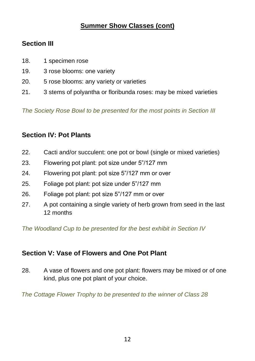# **Section III**

- 18. 1 specimen rose
- 19. 3 rose blooms: one variety
- 20. 5 rose blooms: any variety or varieties
- 21. 3 stems of polyantha or floribunda roses: may be mixed varieties

*The Society Rose Bowl to be presented for the most points in Section III*

# **Section IV: Pot Plants**

- 22. Cacti and/or succulent: one pot or bowl (single or mixed varieties)
- 23. Flowering pot plant: pot size under 5"/127 mm
- 24. Flowering pot plant: pot size 5"/127 mm or over
- 25. Foliage pot plant: pot size under 5"/127 mm
- 26. Foliage pot plant: pot size 5"/127 mm or over
- 27. A pot containing a single variety of herb grown from seed in the last 12 months

*The Woodland Cup to be presented for the best exhibit in Section IV*

# **Section V: Vase of Flowers and One Pot Plant**

28. A vase of flowers and one pot plant: flowers may be mixed or of one kind, plus one pot plant of your choice.

*The Cottage Flower Trophy to be presented to the winner of Class 28*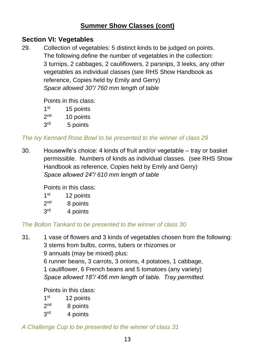# **Section VI: Vegetables**

29. Collection of vegetables: 5 distinct kinds to be judged on points. The following define the number of vegetables in the collection: 3 turnips, 2 cabbages, 2 cauliflowers, 2 parsnips, 3 leeks, any other vegetables as individual classes (see RHS Show Handbook as reference, Copies held by Emily and Gerry) *Space allowed 30"/ 760 mm length of table*

Points in this class:

| 1 <sup>st</sup> | 15 points |
|-----------------|-----------|
| 2 <sub>nd</sub> | 10 points |
| 3 <sup>rd</sup> | 5 points  |

#### *The Ivy Kennard Rose Bowl to be presented to the winner of class 29*

30. Housewife's choice: 4 kinds of fruit and/or vegetable – tray or basket permissible. Numbers of kinds as individual classes. (see RHS Show Handbook as reference, Copies held by Emily and Gerry) *Space allowed 24"/ 610 mm length of table*

Points in this class:

- $1<sup>st</sup>$ 12 points
- $2<sub>nd</sub>$ 8 points
- $3<sup>rd</sup>$ 4 points

### *The Bolton Tankard to be presented to the winner of class 30*

31. 1 vase of flowers and 3 kinds of vegetables chosen from the following: 3 stems from bulbs, corms, tubers or rhizomes or

9 annuals (may be mixed) plus:

6 runner beans, 3 carrots, 3 onions, 4 potatoes, 1 cabbage,

1 cauliflower, 6 French beans and 5 tomatoes (any variety)

*Space allowed 18"/ 456 mm length of table. Tray permitted.*

Points in this class:

- 1<sup>st</sup> 12 points
- $2<sub>nd</sub>$ 8 points
- 3rd 4 points

### *A Challenge Cup to be presented to the winner of class 31*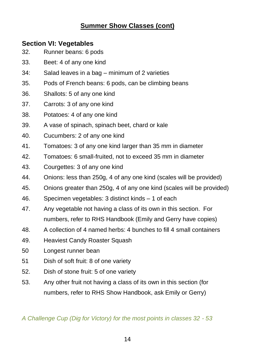### **Section VI: Vegetables**

- 32. Runner beans: 6 pods
- 33. Beet: 4 of any one kind
- 34: Salad leaves in a bag minimum of 2 varieties
- 35. Pods of French beans: 6 pods, can be climbing beans
- 36. Shallots: 5 of any one kind
- 37. Carrots: 3 of any one kind
- 38. Potatoes: 4 of any one kind
- 39. A vase of spinach, spinach beet, chard or kale
- 40. Cucumbers: 2 of any one kind
- 41. Tomatoes: 3 of any one kind larger than 35 mm in diameter
- 42. Tomatoes: 6 small-fruited, not to exceed 35 mm in diameter
- 43. Courgettes: 3 of any one kind
- 44. Onions: less than 250g, 4 of any one kind (scales will be provided)
- 45. Onions greater than 250g, 4 of any one kind (scales will be provided)
- 46. Specimen vegetables: 3 distinct kinds 1 of each
- 47. Any vegetable not having a class of its own in this section. For numbers, refer to RHS Handbook (Emily and Gerry have copies)
- 48. A collection of 4 named herbs: 4 bunches to fill 4 small containers
- 49. Heaviest Candy Roaster Squash
- 50 Longest runner bean
- 51 Dish of soft fruit: 8 of one variety
- 52. Dish of stone fruit: 5 of one variety
- 53. Any other fruit not having a class of its own in this section (for numbers, refer to RHS Show Handbook, ask Emily or Gerry)

*A Challenge Cup (Dig for Victory) for the most points in classes 32 - 53*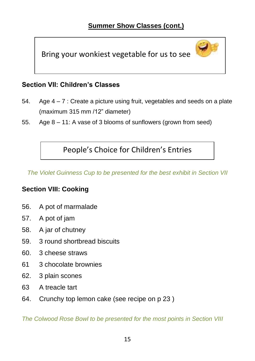Bring your wonkiest vegetable for us to see

# **Section VII: Children's Classes**

- 54. Age 4 7 : Create a picture using fruit, vegetables and seeds on a plate (maximum 315 mm /12" diameter)
- 55. Age 8 11: A vase of 3 blooms of sunflowers (grown from seed)

People's Choice for Children's Entries

*The Violet Guinness Cup to be presented for the best exhibit in Section VII*

#### **Section VIII: Cooking**

- 56. A pot of marmalade
- 57. A pot of jam
- 58. A jar of chutney
- 59. 3 round shortbread biscuits
- 60. 3 cheese straws
- 61 3 chocolate brownies
- 62. 3 plain scones
- 63 A treacle tart
- 64. Crunchy top lemon cake (see recipe on p 23 )

*The Colwood Rose Bowl to be presented for the most points in Section VIII*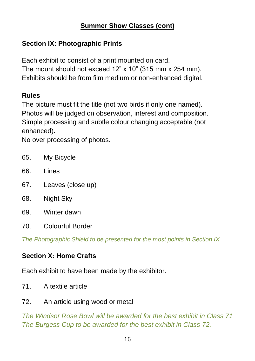# **Section IX: Photographic Prints**

Each exhibit to consist of a print mounted on card. The mount should not exceed 12" x 10" (315 mm x 254 mm). Exhibits should be from film medium or non-enhanced digital.

# **Rules**

The picture must fit the title (not two birds if only one named). Photos will be judged on observation, interest and composition. Simple processing and subtle colour changing acceptable (not enhanced).

No over processing of photos.

- 65. My Bicycle
- 66. Lines
- 67. Leaves (close up)
- 68. Night Sky
- 69. Winter dawn
- 70. Colourful Border

*The Photographic Shield to be presented for the most points in Section IX*

# **Section X: Home Crafts**

Each exhibit to have been made by the exhibitor.

- 71. A textile article
- 72. An article using wood or metal

*The Windsor Rose Bowl will be awarded for the best exhibit in Class 71 The Burgess Cup to be awarded for the best exhibit in Class 72.*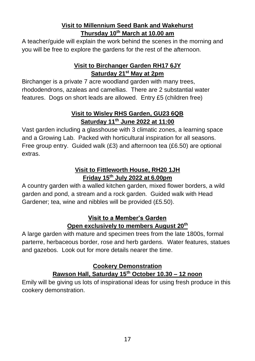#### **Visit to Millennium Seed Bank and Wakehurst Thursday 10th March at 10.00 am**

A teacher/guide will explain the work behind the scenes in the morning and you will be free to explore the gardens for the rest of the afternoon.

#### **Visit to Birchanger Garden RH17 6JY Saturday 21st May at 2pm**

Birchanger is a private 7 acre woodland garden with many trees, rhododendrons, azaleas and camellias. There are 2 substantial water features. Dogs on short leads are allowed. Entry £5 (children free)

#### **Visit to Wisley RHS Garden, GU23 6QB Saturday 11th June 2022 at 11:00**

Vast garden including a glasshouse with 3 climatic zones, a learning space and a Growing Lab. Packed with horticultural inspiration for all seasons. Free group entry. Guided walk (£3) and afternoon tea (£6.50) are optional extras.

#### **Visit to Fittleworth House, RH20 1JH Friday 15th July 2022 at 6.00pm**

A country garden with a walled kitchen garden, mixed flower borders, a wild garden and pond, a stream and a rock garden. Guided walk with Head Gardener; tea, wine and nibbles will be provided (£5.50).

#### **Visit to a Member's Garden Open exclusively to members August 20th**

A large garden with mature and specimen trees from the late 1800s, formal parterre, herbaceous border, rose and herb gardens. Water features, statues and gazebos. Look out for more details nearer the time.

#### **Cookery Demonstration Rawson Hall, Saturday 15th October 10.30 – 12 noon**

Emily will be giving us lots of inspirational ideas for using fresh produce in this cookery demonstration.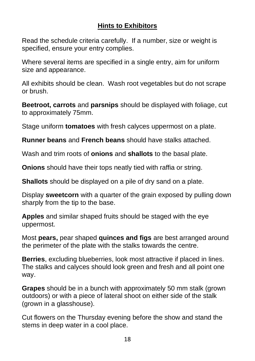# **Hints to Exhibitors**

Read the schedule criteria carefully. If a number, size or weight is specified, ensure your entry complies.

Where several items are specified in a single entry, aim for uniform size and appearance.

All exhibits should be clean. Wash root vegetables but do not scrape or brush.

**Beetroot, carrots** and **parsnips** should be displayed with foliage, cut to approximately 75mm.

Stage uniform **tomatoes** with fresh calyces uppermost on a plate.

**Runner beans** and **French beans** should have stalks attached.

Wash and trim roots of **onions** and **shallots** to the basal plate.

**Onions** should have their tops neatly tied with raffia or string.

**Shallots** should be displayed on a pile of dry sand on a plate.

Display **sweetcorn** with a quarter of the grain exposed by pulling down sharply from the tip to the base.

**Apples** and similar shaped fruits should be staged with the eye uppermost.

Most **pears,** pear shaped **quinces and figs** are best arranged around the perimeter of the plate with the stalks towards the centre.

**Berries**, excluding blueberries, look most attractive if placed in lines. The stalks and calyces should look green and fresh and all point one way.

**Grapes** should be in a bunch with approximately 50 mm stalk (grown outdoors) or with a piece of lateral shoot on either side of the stalk (grown in a glasshouse).

Cut flowers on the Thursday evening before the show and stand the stems in deep water in a cool place.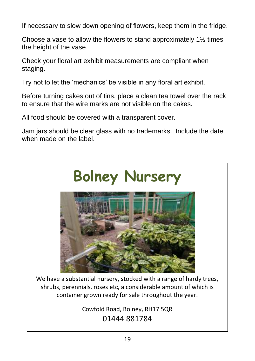If necessary to slow down opening of flowers, keep them in the fridge.

Choose a vase to allow the flowers to stand approximately 1½ times the height of the vase.

Check your floral art exhibit measurements are compliant when staging.

Try not to let the 'mechanics' be visible in any floral art exhibit.

Before turning cakes out of tins, place a clean tea towel over the rack to ensure that the wire marks are not visible on the cakes.

All food should be covered with a transparent cover.

Jam jars should be clear glass with no trademarks. Include the date when made on the label.

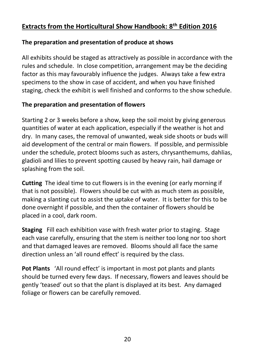# **Extracts from the Horticultural Show Handbook: 8th Edition 2016**

#### **The preparation and presentation of produce at shows**

All exhibits should be staged as attractively as possible in accordance with the rules and schedule. In close competition, arrangement may be the deciding factor as this may favourably influence the judges. Always take a few extra specimens to the show in case of accident, and when you have finished staging, check the exhibit is well finished and conforms to the show schedule.

#### **The preparation and presentation of flowers**

Starting 2 or 3 weeks before a show, keep the soil moist by giving generous quantities of water at each application, especially if the weather is hot and dry. In many cases, the removal of unwanted, weak side shoots or buds will aid development of the central or main flowers. If possible, and permissible under the schedule, protect blooms such as asters, chrysanthemums, dahlias, gladioli and lilies to prevent spotting caused by heavy rain, hail damage or splashing from the soil.

**Cutting** The ideal time to cut flowers is in the evening (or early morning if that is not possible). Flowers should be cut with as much stem as possible, making a slanting cut to assist the uptake of water. It is better for this to be done overnight if possible, and then the container of flowers should be placed in a cool, dark room.

**Staging** Fill each exhibition vase with fresh water prior to staging. Stage each vase carefully, ensuring that the stem is neither too long nor too short and that damaged leaves are removed. Blooms should all face the same direction unless an 'all round effect' is required by the class.

**Pot Plants** 'All round effect' is important in most pot plants and plants should be turned every few days. If necessary, flowers and leaves should be gently 'teased' out so that the plant is displayed at its best. Any damaged foliage or flowers can be carefully removed.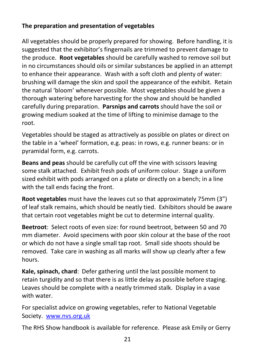## **The preparation and presentation of vegetables**

All vegetables should be properly prepared for showing. Before handling, it is suggested that the exhibitor's fingernails are trimmed to prevent damage to the produce. **Root vegetables** should be carefully washed to remove soil but in no circumstances should oils or similar substances be applied in an attempt to enhance their appearance. Wash with a soft cloth and plenty of water: brushing will damage the skin and spoil the appearance of the exhibit. Retain the natural 'bloom' whenever possible. Most vegetables should be given a thorough watering before harvesting for the show and should be handled carefully during preparation. **Parsnips and carrots** should have the soil or growing medium soaked at the time of lifting to minimise damage to the root.

Vegetables should be staged as attractively as possible on plates or direct on the table in a 'wheel' formation, e.g. peas: in rows, e.g. runner beans: or in pyramidal form, e.g. carrots.

**Beans and peas** should be carefully cut off the vine with scissors leaving some stalk attached. Exhibit fresh pods of uniform colour. Stage a uniform sized exhibit with pods arranged on a plate or directly on a bench; in a line with the tall ends facing the front.

**Root vegetables** must have the leaves cut so that approximately 75mm (3") of leaf stalk remains, which should be neatly tied. Exhibitors should be aware that certain root vegetables might be cut to determine internal quality.

**Beetroot**: Select roots of even size: for round beetroot, between 50 and 70 mm diameter. Avoid specimens with poor skin colour at the base of the root or which do not have a single small tap root. Small side shoots should be removed. Take care in washing as all marks will show up clearly after a few hours.

**Kale, spinach, chard**: Defer gathering until the last possible moment to retain turgidity and so that there is as little delay as possible before staging. Leaves should be complete with a neatly trimmed stalk. Display in a vase with water.

For specialist advice on growing vegetables, refer to National Vegetable Society. [www.nvs.org.uk](http://www.nvs.org.uk/)

The RHS Show handbook is available for reference. Please ask Emily or Gerry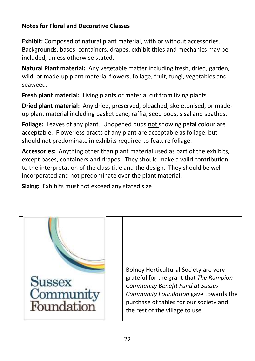### **Notes for Floral and Decorative Classes**

**Exhibit:** Composed of natural plant material, with or without accessories. Backgrounds, bases, containers, drapes, exhibit titles and mechanics may be included, unless otherwise stated.

**Natural Plant material:** Any vegetable matter including fresh, dried, garden, wild, or made-up plant material flowers, foliage, fruit, fungi, vegetables and seaweed.

**Fresh plant material:** Living plants or material cut from living plants

**Dried plant material:** Any dried, preserved, bleached, skeletonised, or madeup plant material including basket cane, raffia, seed pods, sisal and spathes.

**Foliage:** Leaves of any plant. Unopened buds not showing petal colour are acceptable. Flowerless bracts of any plant are acceptable as foliage, but should not predominate in exhibits required to feature foliage.

**Accessories:** Anything other than plant material used as part of the exhibits, except bases, containers and drapes. They should make a valid contribution to the interpretation of the class title and the design. They should be well incorporated and not predominate over the plant material.

**Sizing:** Exhibits must not exceed any stated size

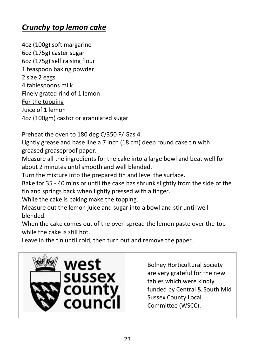# *Crunchy top lemon cake*

4oz (100g) soft margarine 6oz (175g) caster sugar 6oz (175g) self raising flour 1 teaspoon baking powder 2 size 2 eggs 4 tablespoons milk Finely grated rind of 1 lemon For the topping Juice of 1 lemon 4oz (100gm) castor or granulated sugar

Preheat the oven to 180 deg C/350 F/ Gas 4.

Lightly grease and base line a 7 inch (18 cm) deep round cake tin with greased greaseproof paper.

Measure all the ingredients for the cake into a large bowl and beat well for about 2 minutes until smooth and well blended.

Turn the mixture into the prepared tin and level the surface.

Bake for 35 - 40 mins or until the cake has shrunk slightly from the side of the tin and springs back when lightly pressed with a finger.

While the cake is baking make the topping.

Measure out the lemon juice and sugar into a bowl and stir until well blended.

When the cake comes out of the oven spread the lemon paste over the top while the cake is still hot.

Leave in the tin until cold, then turn out and remove the paper.



Bolney Horticultural Society are very grateful for the new tables which were kindly funded by Central & South Mid Sussex County Local Committee (WSCC).